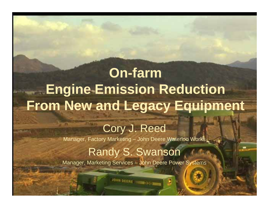# **On-farm Engine Emission Reduction From New and Legacy Equipment**

#### Cory J. Reed

Manager, Factory Marketing – John Deere Waterloo Works

#### Randy S. Swanson

Manager, Marketing Services – John Deere Power Systems

**JOHN DEERE HIMMENS**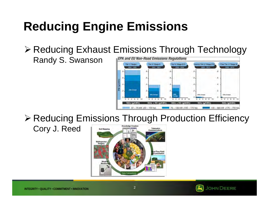# **Reducing Engine Emissions**

¾ Reducing Exhaust Emissions Through Technology

Randy S. Swanson



¾ Reducing Emissions Through Production Efficiency

#### **Considering Creatin Telematics** oil Mapping Communications Multispectra Imagen **L.Time Field**



Cory J. Reed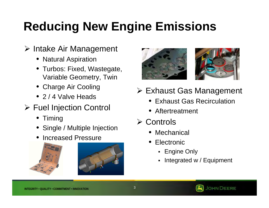# **Reducing New Engine Emissions**

#### ¾ Intake Air Management

- Natural Aspiration
- Turbos: Fixed, Wastegate, Variable Geometry, Twin
- Charge Air Cooling
- 2 / 4 Valve Heads
- ¾ Fuel Injection Control
	- •Timing
	- Single / Multiple Injection
	- Increased Pressure







- ¾ Exhaust Gas Management
	- Exhaust Gas Recirculation
	- Aftertreatment
- ¾ Controls
	- Mechanical
	- • Electronic
		- **Engine Only**
		- Г Integrated w / Equipment

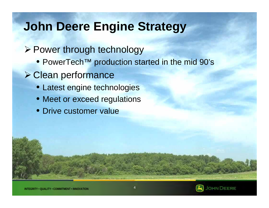#### **John Deere Engine Strategy**

¾ Power through technology

- PowerTech™ production started in the mid 90's
- ¾ Clean performance
	- Latest engine technologies
	- Meet or exceed regulations
	- Drive customer value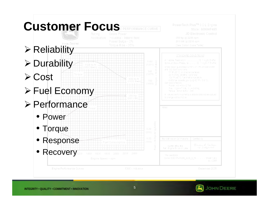

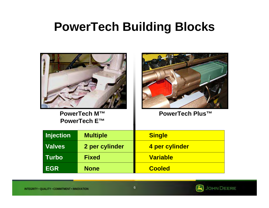#### **PowerTech Building Blocks**



**PowerTech M™PowerTechE™** 



**PowerTech Plus™**

| Injection     | <b>Multiple</b> | <b>Single</b>   |
|---------------|-----------------|-----------------|
| <b>Valves</b> | 2 per cylinder  | 4 per cylinder  |
| Turbo         | <b>Fixed</b>    | <b>Variable</b> |
| <b>EGR</b>    | <b>None</b>     | <b>Cooled</b>   |

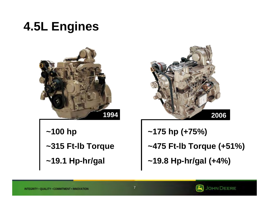### **4.5L Engines**



**~100 hp ~315 Ft-lb Torque ~19.1 Hp-hr/gal**



**~175 hp (+75%) ~475 Ft-lb Torque (+51%) ~19.8 Hp-hr/gal (+4%)**

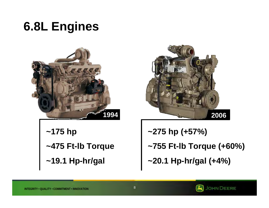### **6.8L Engines**



**~175 hp ~475 Ft-lb Torque ~19.1 Hp-hr/gal**



**~275 hp (+57%) ~755 Ft-lb Torque (+60%) ~20.1 Hp-hr/gal (+4%)**

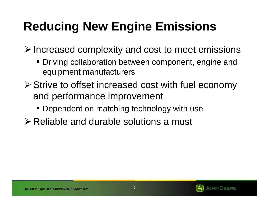# **Reducing New Engine Emissions**

¾ Increased complexity and cost to meet emissions

- Driving collaboration between component, engine and equipment manufacturers
- ¾ Strive to offset increased cost with fuel economy and performance improvement
	- Dependent on matching technology with use
- ¾ Reliable and durable solutions a must

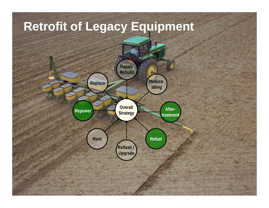# **Retrofit of Legacy Equipment**



**INTEGRITY • QUALITY • COMMITMENT • INNOVATION**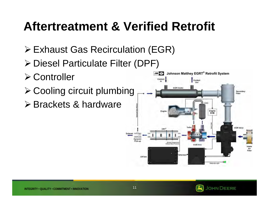#### **Aftertreatment & Verified Retrofit**

- ¾ Exhaust Gas Recirculation (EGR)
- ¾ Diesel Particulate Filter (DPF)
- ¾ Controller
- ¾ Cooling circuit plumbing
- **≻ Brackets & hardware**



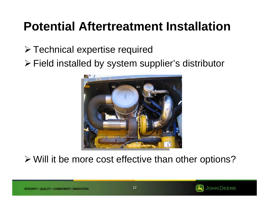#### **Potential Aftertreatment Installation**

- ¾ Technical expertise required
- ¾ Field installed by system supplier's distributor



¾ Will it be more cost effective than other options?

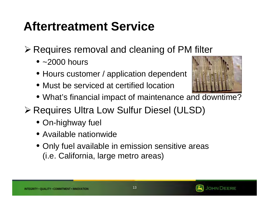### **Aftertreatment Service**

- ¾ Requires removal and cleaning of PM filter
	- ~2000 hours
	- Hours customer / application dependent
	- Must be serviced at certified location



- What's financial impact of maintenance and downtime?
- ¾ Requires Ultra Low Sulfur Diesel (ULSD)
	- On-highway fuel
	- Available nationwide
	- Only fuel available in emission sensitive areas (i.e. California, large metro areas)

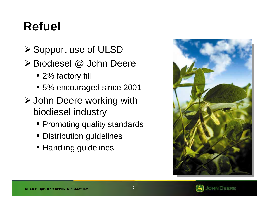# **Refuel**

- ¾ Support use of ULSD
- ¾ Biodiesel @ John Deere
	- 2% factory fill
	- 5% encouraged since 2001
- ¾ John Deere working with biodiesel industry
	- Promoting quality standards
	- Distribution guidelines
	- Handling guidelines



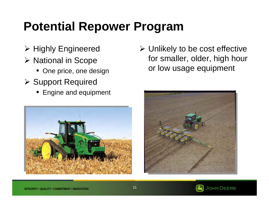# **Potential Repower Program**

- ¾ Highly Engineered
- ¾ National in Scope
	- One price, one design
- ¾ Support Required
	- Engine and equipment



¾ Unlikely to be cost effective for smaller, older, high hour or low usage equipment



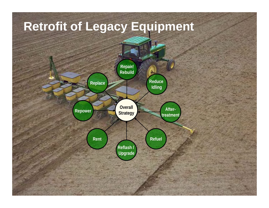# **Retrofit of Legacy Equipment**



**INTEGRITY • QUALITY • COMMITMENT • INNOVATION**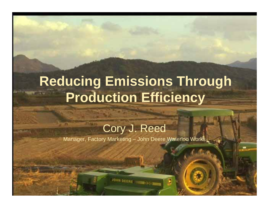# **Reducing Emissions Through Production Efficiency**

#### Cory J. Reed

Manager, Factory Marketing – John Deere Waterloo Works

JOHN DEERE THIRDS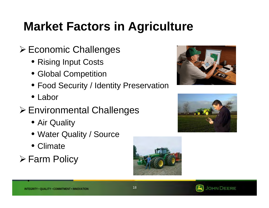### **Market Factors in Agriculture**

- ¾ Economic Challenges
	- Rising Input Costs
	- Global Competition
	- Food Security / Identity Preservation
	- Labor
- ¾ Environmental Challenges
	- Air Quality
	- Water Quality / Source
	- Climate
- ¾ Farm Policy

•







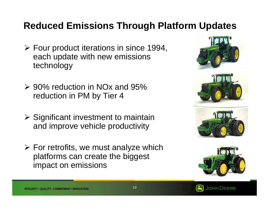#### **Reduced Emissions Through Platform Updates**

- ¾ Four product iterations in since 1994, each update with new emissions technology
- $\ge$  90% reduction in NO<sub>x</sub> and 95% reduction in PM by Tier 4
- $\triangleright$  Significant investment to maintain and improve vehicle productivity
- $\triangleright$  For retrofits, we must analyze which platforms can create the biggest impact on emissions



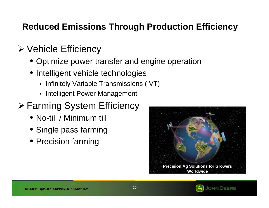#### **Reduced Emissions Through Production Efficiency**

#### ¾ Vehicle Efficiency

- Optimize power transfer and engine operation
- Intelligent vehicle technologies
	- **Infinitely Variable Transmissions (IVT)**
	- **Intelligent Power Management**

#### ¾ Farming System Efficiency

- No-till / Minimum till
- Single pass farming
- Precision farming



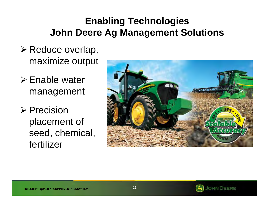#### **Enabling Technologies John Deere Ag Management Solutions**

- ¾ Reduce overlap, maximize output
- $\triangleright$  Enable water management
- ¾ Precision placement of seed, chemical, fertilizer



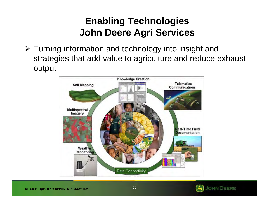#### **Enabling Technologies John Deere Agri Services**

¾ Turning information and technology into insight and strategies that add value to agriculture and reduce exhaust output



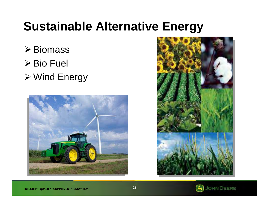#### **Sustainable Alternative Energy**

- ¾ Biomass
- $\triangleright$  Bio Fuel
- ¾ Wind Energy